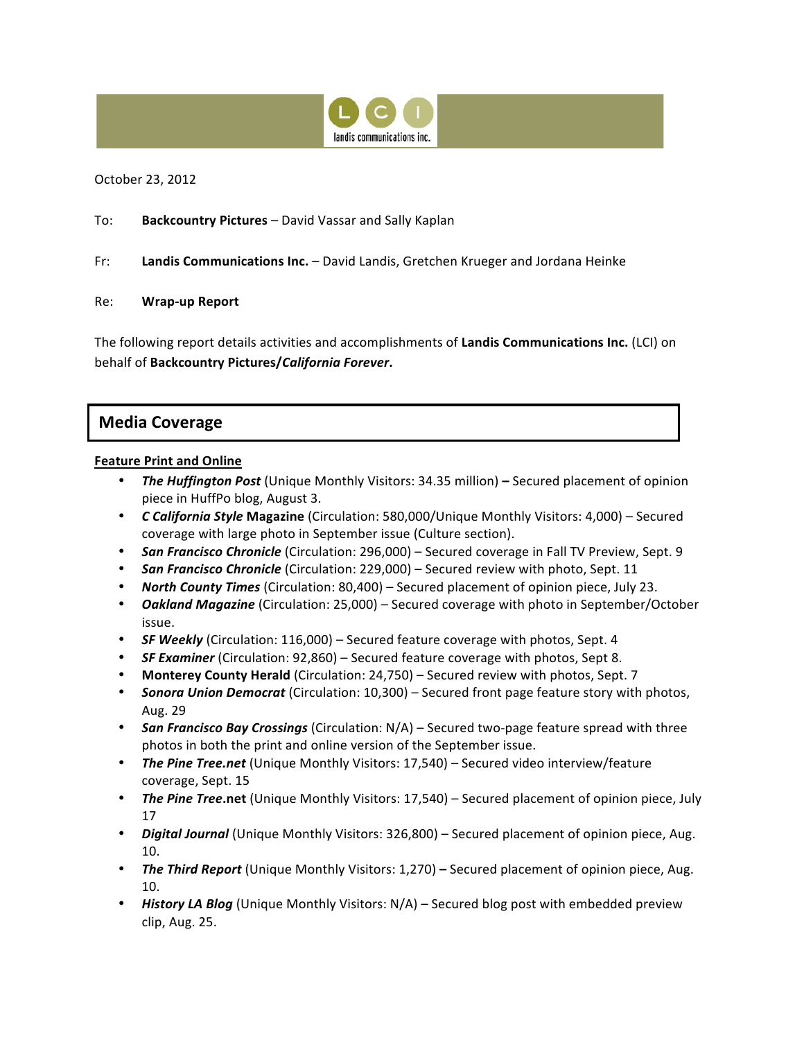

October 23, 2012

To: **Backcountry Pictures** – David Vassar and Sally Kaplan

Fr: **Landis Communications Inc.** – David Landis, Gretchen Krueger and Jordana Heinke

#### Re: **Wrap-up Report**

The following report details activities and accomplishments of Landis Communications Inc. (LCI) on behalf of **Backcountry Pictures/***California Forever***.**

# **Media Coverage**

#### **Feature Print and Online**

- **The Huffington Post** (Unique Monthly Visitors: 34.35 million) Secured placement of opinion piece in HuffPo blog, August 3.
- **C California Style Magazine** (Circulation: 580,000/Unique Monthly Visitors: 4,000) Secured coverage with large photo in September issue (Culture section).
- **San Francisco Chronicle** (Circulation: 296,000) Secured coverage in Fall TV Preview, Sept. 9
- **San Francisco Chronicle** (Circulation: 229,000) Secured review with photo, Sept. 11
- **North County Times** (Circulation: 80,400) Secured placement of opinion piece, July 23.
- **Oakland Magazine** (Circulation: 25,000) Secured coverage with photo in September/October issue.
- **SF Weekly** (Circulation: 116,000) Secured feature coverage with photos, Sept. 4
- **SF Examiner** (Circulation: 92,860) Secured feature coverage with photos, Sept 8.
- **Monterey County Herald** (Circulation: 24,750) Secured review with photos, Sept. 7
- **Sonora Union Democrat** (Circulation: 10,300) Secured front page feature story with photos, Aug. 29
- **San Francisco Bay Crossings** (Circulation: N/A) Secured two-page feature spread with three photos in both the print and online version of the September issue.
- **The Pine Tree.net** (Unique Monthly Visitors: 17,540) Secured video interview/feature coverage, Sept. 15
- The Pine Tree.net (Unique Monthly Visitors: 17,540) Secured placement of opinion piece, July 17
- *Digital Journal* (Unique Monthly Visitors: 326,800) Secured placement of opinion piece, Aug. 10.
- **The Third Report** (Unique Monthly Visitors: 1,270) Secured placement of opinion piece, Aug. 10.
- **History LA Blog** (Unique Monthly Visitors: N/A) Secured blog post with embedded preview clip, Aug. 25.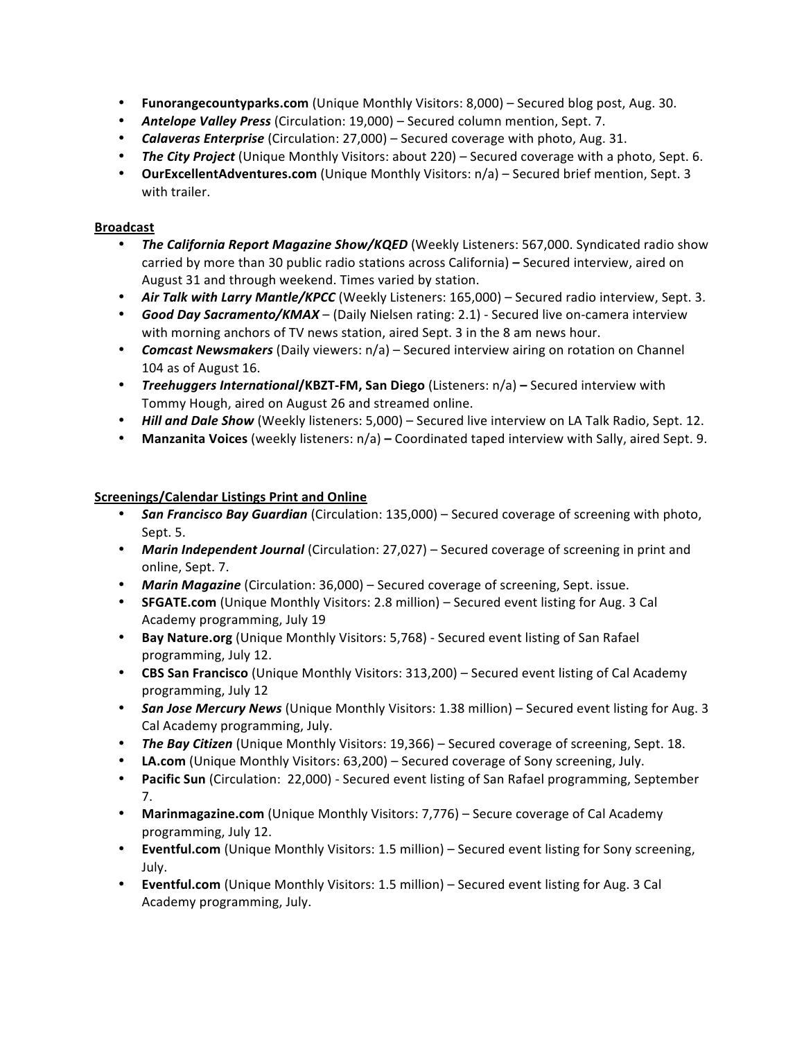- **Funorangecountyparks.com** (Unique Monthly Visitors: 8,000) Secured blog post, Aug. 30.
- **Antelope Valley Press** (Circulation: 19,000) Secured column mention, Sept. 7.
- **Calaveras Enterprise** (Circulation: 27,000) Secured coverage with photo, Aug. 31.
- **The City Project** (Unique Monthly Visitors: about 220) Secured coverage with a photo, Sept. 6.
- **OurExcellentAdventures.com** (Unique Monthly Visitors: n/a) Secured brief mention, Sept. 3 with trailer.

## **Broadcast**

- The California Report Magazine Show/KQED (Weekly Listeners: 567,000. Syndicated radio show carried by more than 30 public radio stations across California) – Secured interview, aired on August 31 and through weekend. Times varied by station.
- Air Talk with Larry Mantle/KPCC (Weekly Listeners: 165,000) Secured radio interview, Sept. 3.
- **Good Day Sacramento/KMAX** (Daily Nielsen rating: 2.1) Secured live on-camera interview with morning anchors of TV news station, aired Sept. 3 in the 8 am news hour.
- *Comcast Newsmakers* (Daily viewers:  $n/a$ ) Secured interview airing on rotation on Channel 104 as of August 16.
- **Treehuggers International/KBZT-FM, San Diego (Listeners: n/a) Secured interview with** Tommy Hough, aired on August 26 and streamed online.
- **Hill and Dale Show** (Weekly listeners: 5,000) Secured live interview on LA Talk Radio, Sept. 12.
- Manzanita Voices (weekly listeners:  $n/a$ ) Coordinated taped interview with Sally, aired Sept. 9.

### **Screenings/Calendar Listings Print and Online**

- **San Francisco Bay Guardian** (Circulation: 135,000) Secured coverage of screening with photo, Sept. 5.
- **Marin Independent Journal** (Circulation: 27,027) Secured coverage of screening in print and online, Sept. 7.
- **Marin Magazine** (Circulation: 36,000) Secured coverage of screening, Sept. issue.
- **SFGATE.com** (Unique Monthly Visitors: 2.8 million) Secured event listing for Aug. 3 Cal Academy programming, July 19
- **Bay Nature.org** (Unique Monthly Visitors: 5,768) Secured event listing of San Rafael programming, July 12.
- **CBS San Francisco** (Unique Monthly Visitors: 313,200) Secured event listing of Cal Academy programming, July 12
- **San Jose Mercury News** (Unique Monthly Visitors: 1.38 million) Secured event listing for Aug. 3 Cal Academy programming, July.
- The Bay Citizen (Unique Monthly Visitors: 19,366) Secured coverage of screening, Sept. 18.
- LA.com (Unique Monthly Visitors: 63,200) Secured coverage of Sony screening, July.
- **Pacific Sun** (Circulation: 22,000) Secured event listing of San Rafael programming, September 7.
- Marinmagazine.com (Unique Monthly Visitors: 7,776) Secure coverage of Cal Academy programming, July 12.
- **Eventful.com** (Unique Monthly Visitors: 1.5 million) Secured event listing for Sony screening, July.
- **Eventful.com** (Unique Monthly Visitors: 1.5 million) Secured event listing for Aug. 3 Cal Academy programming, July.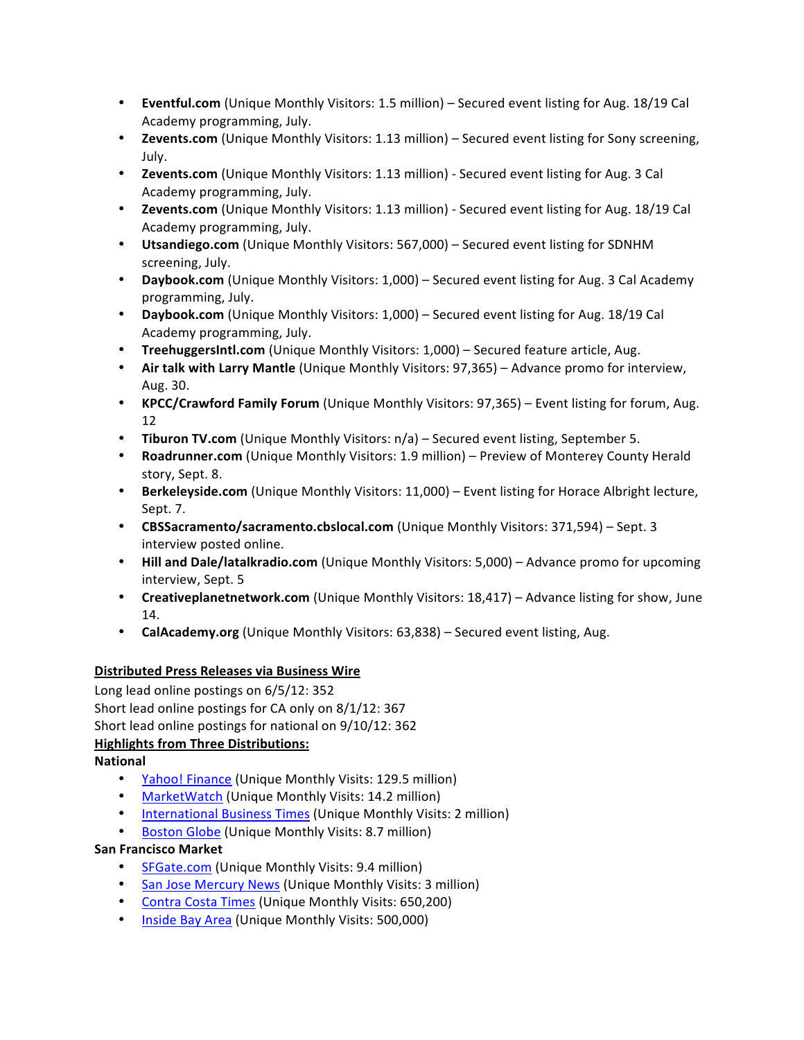- **Eventful.com** (Unique Monthly Visitors: 1.5 million) Secured event listing for Aug. 18/19 Cal Academy programming, July.
- **Zevents.com** (Unique Monthly Visitors: 1.13 million) Secured event listing for Sony screening, July.
- **Zevents.com** (Unique Monthly Visitors: 1.13 million) Secured event listing for Aug. 3 Cal Academy programming, July.
- **Zevents.com** (Unique Monthly Visitors: 1.13 million) Secured event listing for Aug. 18/19 Cal Academy programming, July.
- Utsandiego.com (Unique Monthly Visitors: 567,000) Secured event listing for SDNHM screening, July.
- **Daybook.com** (Unique Monthly Visitors: 1,000) Secured event listing for Aug. 3 Cal Academy programming, July.
- Daybook.com (Unique Monthly Visitors: 1,000) Secured event listing for Aug. 18/19 Cal Academy programming, July.
- **TreehuggersIntl.com** (Unique Monthly Visitors: 1,000) Secured feature article, Aug.
- Air talk with Larry Mantle (Unique Monthly Visitors: 97,365) Advance promo for interview, Aug. 30.
- **KPCC/Crawford Family Forum** (Unique Monthly Visitors: 97,365) Event listing for forum, Aug. 12
- **Tiburon TV.com** (Unique Monthly Visitors: n/a) Secured event listing, September 5.
- **Roadrunner.com** (Unique Monthly Visitors: 1.9 million) Preview of Monterey County Herald story, Sept. 8.
- Berkeleyside.com (Unique Monthly Visitors: 11,000) Event listing for Horace Albright lecture, Sept. 7.
- **CBSSacramento/sacramento.cbslocal.com** (Unique Monthly Visitors: 371,594) Sept. 3 interview posted online.
- **Hill and Dale/latalkradio.com** (Unique Monthly Visitors: 5,000) Advance promo for upcoming interview, Sept. 5
- **Creativeplanetnetwork.com** (Unique Monthly Visitors: 18,417) Advance listing for show, June 14.
- **CalAcademy.org** (Unique Monthly Visitors: 63,838) Secured event listing, Aug.

# **Distributed Press Releases via Business Wire**

Long lead online postings on 6/5/12: 352 Short lead online postings for CA only on 8/1/12: 367 Short lead online postings for national on  $9/10/12$ : 362 **Highlights from Three Distributions:** 

# **National**

- Yahoo! Finance (Unique Monthly Visits: 129.5 million)
- MarketWatch (Unique Monthly Visits: 14.2 million)
- International Business Times (Unique Monthly Visits: 2 million)
- Boston Globe (Unique Monthly Visits: 8.7 million)

# **San Francisco Market**

- SFGate.com (Unique Monthly Visits: 9.4 million)
- San Jose Mercury News (Unique Monthly Visits: 3 million)
- Contra Costa Times (Unique Monthly Visits: 650,200)
- Inside Bay Area (Unique Monthly Visits: 500,000)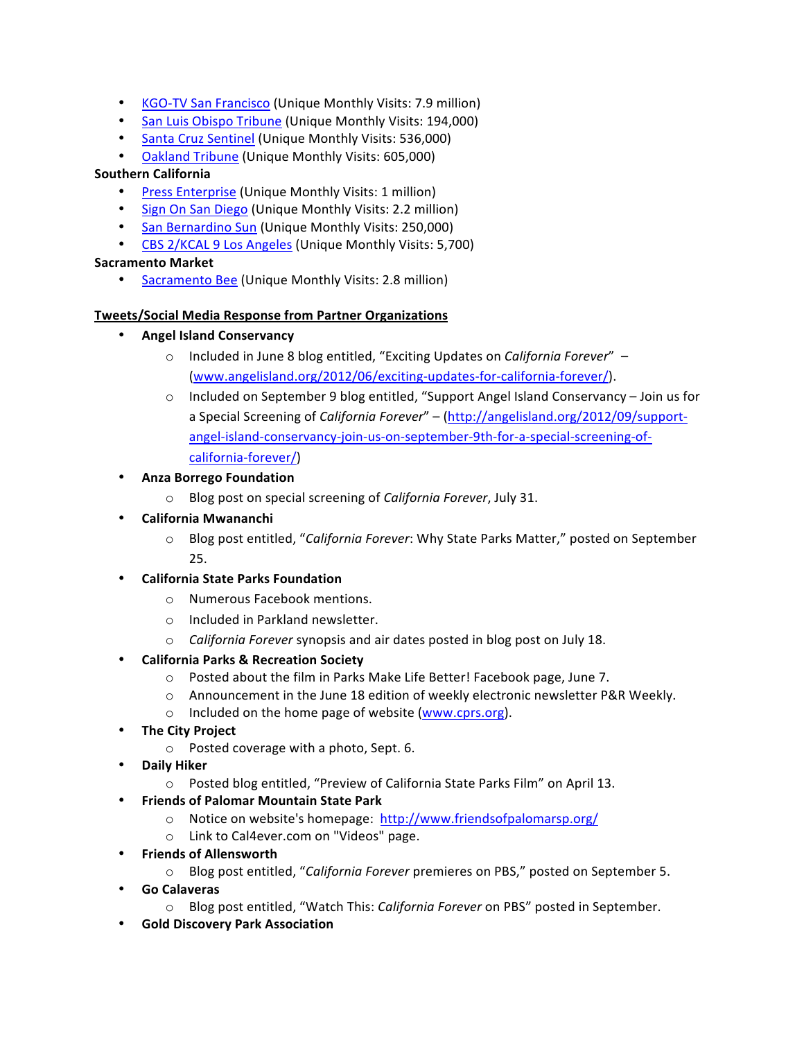- KGO-TV San Francisco (Unique Monthly Visits: 7.9 million)
- San Luis Obispo Tribune (Unique Monthly Visits: 194,000)
- Santa Cruz Sentinel (Unique Monthly Visits: 536,000)
- Oakland Tribune (Unique Monthly Visits: 605,000)

### **Southern California**

- **Press Enterprise (Unique Monthly Visits: 1 million)**
- Sign On San Diego (Unique Monthly Visits: 2.2 million)
- San Bernardino Sun (Unique Monthly Visits: 250,000)
- CBS 2/KCAL 9 Los Angeles (Unique Monthly Visits: 5,700)

#### **Sacramento Market**

Sacramento Bee (Unique Monthly Visits: 2.8 million)

#### **Tweets/Social Media Response from Partner Organizations**

- **Angel Island Conservancy**
	- Included in June 8 blog entitled, "Exciting Updates on *California Forever*" (www.angelisland.org/2012/06/exciting-updates-for-california-forever/).
	- $\circ$  Included on September 9 blog entitled, "Support Angel Island Conservancy Join us for a Special Screening of *California Forever*" – (http://angelisland.org/2012/09/supportangel-island-conservancy-join-us-on-september-9th-for-a-special-screening-ofcalifornia-forever/)
- **Anza Borrego Foundation**
	- o Blog post on special screening of *California Forever*, July 31.
- **California Mwananchi**
	- o Blog post entitled, "*California Forever*: Why State Parks Matter," posted on September 25.
- **California State Parks Foundation**
	- o Numerous Facebook mentions.
	- $\circ$  Included in Parkland newsletter.
	- o *California Forever* synopsis and air dates posted in blog post on July 18.
- **California Parks & Recreation Society**
	- o Posted about the film in Parks Make Life Better! Facebook page, June 7.
	- $\circ$  Announcement in the June 18 edition of weekly electronic newsletter P&R Weekly.
	- o Included on the home page of website (www.cprs.org).
- **The City Project**
	- $\circ$  Posted coverage with a photo, Sept. 6.
- **Daily Hiker**
	- $\circ$  Posted blog entitled, "Preview of California State Parks Film" on April 13.
- **Friends of Palomar Mountain State Park**
	- $\circ$  Notice on website's homepage: http://www.friendsofpalomarsp.org/
	- o Link to Cal4ever.com on "Videos" page.
- **Friends of Allensworth**
	- Blog post entitled, "California Forever premieres on PBS," posted on September 5.
- **Go Calaveras** 
	- Blog post entitled, "Watch This: *California Forever* on PBS" posted in September.
- **Gold Discovery Park Association**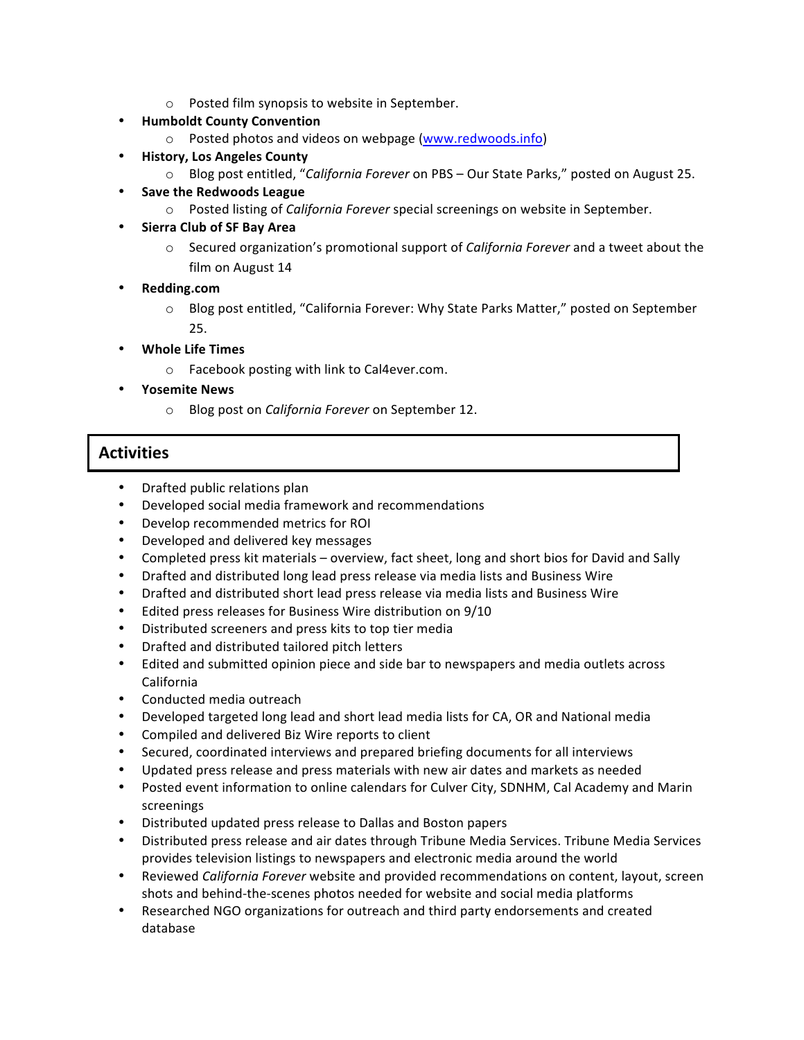- $\circ$  Posted film synopsis to website in September.
- **Humboldt County Convention**
	- o Posted photos and videos on webpage (www.redwoods.info)
- **History, Los Angeles County** 
	- Blog post entitled, "*California Forever* on PBS Our State Parks," posted on August 25.
- **Save the Redwoods League** 
	- o Posted listing of *California Forever* special screenings on website in September.
- **Sierra Club of SF Bay Area** 
	- $\circ$  Secured organization's promotional support of *California Forever* and a tweet about the film on August 14
- **Redding.com**
	- $\circ$  Blog post entitled, "California Forever: Why State Parks Matter," posted on September 25.
- **Whole Life Times**
	- $\circ$  Facebook posting with link to Cal4ever.com.
- **Yosemite News**
	- o Blog post on *California Forever* on September 12.

# **Activities**

- Drafted public relations plan
- Developed social media framework and recommendations
- Develop recommended metrics for ROI
- Developed and delivered key messages
- Completed press kit materials overview, fact sheet, long and short bios for David and Sally
- Drafted and distributed long lead press release via media lists and Business Wire
- Drafted and distributed short lead press release via media lists and Business Wire
- Edited press releases for Business Wire distribution on 9/10
- Distributed screeners and press kits to top tier media
- Drafted and distributed tailored pitch letters
- Edited and submitted opinion piece and side bar to newspapers and media outlets across California
- Conducted media outreach
- Developed targeted long lead and short lead media lists for CA, OR and National media
- Compiled and delivered Biz Wire reports to client
- Secured, coordinated interviews and prepared briefing documents for all interviews
- Updated press release and press materials with new air dates and markets as needed
- Posted event information to online calendars for Culver City, SDNHM, Cal Academy and Marin screenings
- Distributed updated press release to Dallas and Boston papers
- Distributed press release and air dates through Tribune Media Services. Tribune Media Services provides television listings to newspapers and electronic media around the world
- Reviewed *California Forever* website and provided recommendations on content, layout, screen shots and behind-the-scenes photos needed for website and social media platforms
- Researched NGO organizations for outreach and third party endorsements and created database